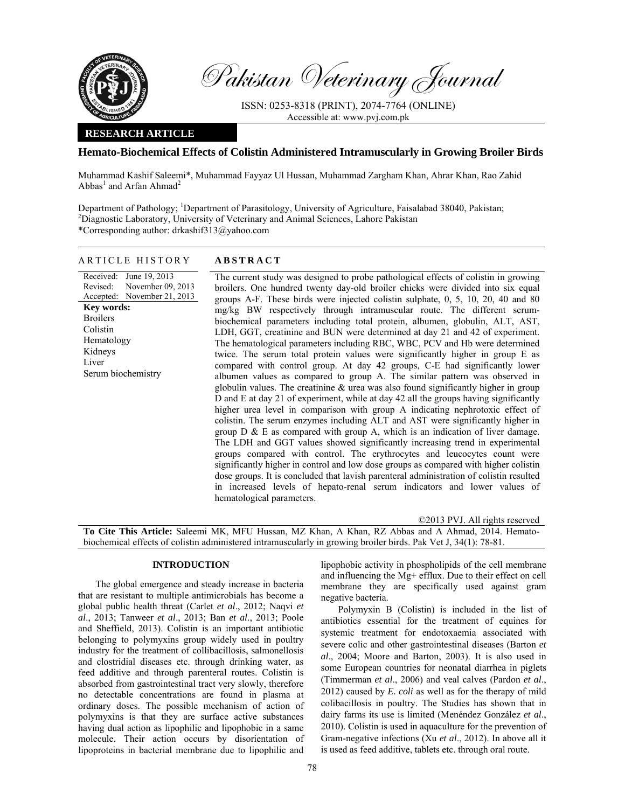

Received: Revised: Accepted:

**Key words:**  Broilers Colistin Hematology Kidneys Liver

Serum biochemistry

Pakistan Veterinary Journal

ISSN: 0253-8318 (PRINT), 2074-7764 (ONLINE) Accessible at: www.pvj.com.pk

# **RESEARCH ARTICLE**

## **Hemato-Biochemical Effects of Colistin Administered Intramuscularly in Growing Broiler Birds**

Muhammad Kashif Saleemi\*, Muhammad Fayyaz Ul Hussan, Muhammad Zargham Khan, Ahrar Khan, Rao Zahid  $Abbas<sup>1</sup>$  and Arfan Ahmad<sup>2</sup>

Department of Pathology; <sup>1</sup>Department of Parasitology, University of Agriculture, Faisalabad 38040, Pakistan;<br><sup>2</sup>Discressio Leberstony, University of Veteringry and Animal Sejances, Lebers Pakistan Diagnostic Laboratory, University of Veterinary and Animal Sciences, Lahore Pakistan \*Corresponding author: drkashif313@yahoo.com

|--|

June 19, 2013

November 09, 2013 November 21, 2013 The current study was designed to probe pathological effects of colistin in growing broilers. One hundred twenty day-old broiler chicks were divided into six equal groups A-F. These birds were injected colistin sulphate, 0, 5, 10, 20, 40 and 80 mg/kg BW respectively through intramuscular route. The different serumbiochemical parameters including total protein, albumen, globulin, ALT, AST, LDH, GGT, creatinine and BUN were determined at day 21 and 42 of experiment. The hematological parameters including RBC, WBC, PCV and Hb were determined twice. The serum total protein values were significantly higher in group E as compared with control group. At day 42 groups, C-E had significantly lower albumen values as compared to group A. The similar pattern was observed in globulin values. The creatinine  $\&$  urea was also found significantly higher in group D and E at day 21 of experiment, while at day 42 all the groups having significantly higher urea level in comparison with group A indicating nephrotoxic effect of colistin. The serum enzymes including ALT and AST were significantly higher in group  $D \& E$  as compared with group A, which is an indication of liver damage. The LDH and GGT values showed significantly increasing trend in experimental groups compared with control. The erythrocytes and leucocytes count were significantly higher in control and low dose groups as compared with higher colistin dose groups. It is concluded that lavish parenteral administration of colistin resulted in increased levels of hepato-renal serum indicators and lower values of hematological parameters.

©2013 PVJ. All rights reserved **To Cite This Article:** Saleemi MK, MFU Hussan, MZ Khan, A Khan, RZ Abbas and A Ahmad, 2014. Hematobiochemical effects of colistin administered intramuscularly in growing broiler birds. Pak Vet J, 34(1): 78-81.

## **INTRODUCTION**

The global emergence and steady increase in bacteria that are resistant to multiple antimicrobials has become a global public health threat (Carlet *et al*., 2012; Naqvi *et al*., 2013; Tanweer *et al*., 2013; Ban *et al*., 2013; Poole and Sheffield, 2013). Colistin is an important antibiotic belonging to polymyxins group widely used in poultry industry for the treatment of collibacillosis, salmonellosis and clostridial diseases etc. through drinking water, as feed additive and through parenteral routes. Colistin is absorbed from gastrointestinal tract very slowly, therefore no detectable concentrations are found in plasma at ordinary doses. The possible mechanism of action of polymyxins is that they are surface active substances having dual action as lipophilic and lipophobic in a same molecule. Their action occurs by disorientation of lipoproteins in bacterial membrane due to lipophilic and

lipophobic activity in phospholipids of the cell membrane and influencing the Mg+ efflux. Due to their effect on cell membrane they are specifically used against gram negative bacteria.

Polymyxin B (Colistin) is included in the list of antibiotics essential for the treatment of equines for systemic treatment for endotoxaemia associated with severe colic and other gastrointestinal diseases (Barton *et al*., 2004; Moore and Barton, 2003). It is also used in some European countries for neonatal diarrhea in piglets (Timmerman *et al*., 2006) and veal calves (Pardon *et al*., 2012) caused by *E. coli* as well as for the therapy of mild colibacillosis in poultry. The Studies has shown that in dairy farms its use is limited (Menéndez González *et al*., 2010). Colistin is used in aquaculture for the prevention of Gram-negative infections (Xu *et al*., 2012). In above all it is used as feed additive, tablets etc. through oral route.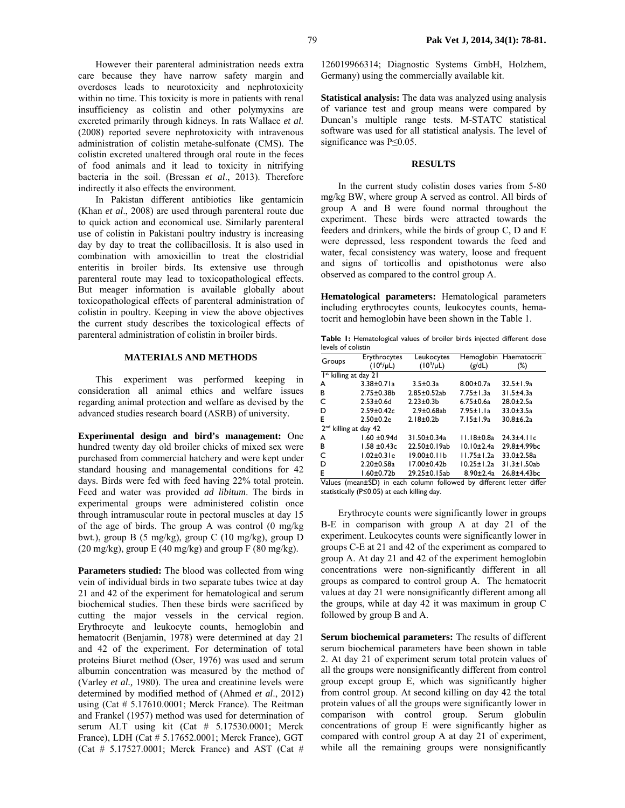However their parenteral administration needs extra care because they have narrow safety margin and overdoses leads to neurotoxicity and nephrotoxicity within no time. This toxicity is more in patients with renal insufficiency as colistin and other polymyxins are excreted primarily through kidneys. In rats Wallace *et al.* (2008) reported severe nephrotoxicity with intravenous administration of colistin metahe-sulfonate (CMS). The colistin excreted unaltered through oral route in the feces of food animals and it lead to toxicity in nitrifying bacteria in the soil. (Bressan *et al*., 2013). Therefore indirectly it also effects the environment.

In Pakistan different antibiotics like gentamicin (Khan *et al*., 2008) are used through parenteral route due to quick action and economical use. Similarly parenteral use of colistin in Pakistani poultry industry is increasing day by day to treat the collibacillosis. It is also used in combination with amoxicillin to treat the clostridial enteritis in broiler birds. Its extensive use through parenteral route may lead to toxicopathological effects. But meager information is available globally about toxicopathological effects of parenteral administration of colistin in poultry. Keeping in view the above objectives the current study describes the toxicological effects of parenteral administration of colistin in broiler birds.

### **MATERIALS AND METHODS**

This experiment was performed keeping in consideration all animal ethics and welfare issues regarding animal protection and welfare as devised by the advanced studies research board (ASRB) of university.

**Experimental design and bird's management:** One hundred twenty day old broiler chicks of mixed sex were purchased from commercial hatchery and were kept under standard housing and managemental conditions for 42 days. Birds were fed with feed having 22% total protein. Feed and water was provided *ad libitum*. The birds in experimental groups were administered colistin once through intramuscular route in pectoral muscles at day 15 of the age of birds. The group A was control (0 mg/kg bwt.), group B (5 mg/kg), group C (10 mg/kg), group D  $(20 \text{ mg/kg})$ , group E  $(40 \text{ mg/kg})$  and group F  $(80 \text{ mg/kg})$ .

**Parameters studied:** The blood was collected from wing vein of individual birds in two separate tubes twice at day 21 and 42 of the experiment for hematological and serum biochemical studies. Then these birds were sacrificed by cutting the major vessels in the cervical region. Erythrocyte and leukocyte counts, hemoglobin and hematocrit (Benjamin, 1978) were determined at day 21 and 42 of the experiment. For determination of total proteins Biuret method (Oser, 1976) was used and serum albumin concentration was measured by the method of (Varley *et al.,* 1980). The urea and creatinine levels were determined by modified method of (Ahmed *et al*., 2012) using (Cat # 5.17610.0001; Merck France). The Reitman and Frankel (1957) method was used for determination of serum ALT using kit (Cat # 5.17530.0001; Merck France), LDH (Cat # 5.17652.0001; Merck France), GGT (Cat # 5.17527.0001; Merck France) and AST (Cat #

126019966314; Diagnostic Systems GmbH, Holzhem, Germany) using the commercially available kit.

**Statistical analysis:** The data was analyzed using analysis of variance test and group means were compared by Duncan's multiple range tests. M-STATC statistical software was used for all statistical analysis. The level of significance was P≤0.05.

### **RESULTS**

In the current study colistin doses varies from 5-80 mg/kg BW, where group A served as control. All birds of group A and B were found normal throughout the experiment. These birds were attracted towards the feeders and drinkers, while the birds of group C, D and E were depressed, less respondent towards the feed and water, fecal consistency was watery, loose and frequent and signs of torticollis and opisthotonus were also observed as compared to the control group A.

**Hematological parameters:** Hematological parameters including erythrocytes counts, leukocytes counts, hematocrit and hemoglobin have been shown in the Table 1.

**Table 1:** Hematological values of broiler birds injected different dose levels of colistin

| Groups                            | Erythrocytes      | Leukocytes         |                  | Hemoglobin Haematocrit |  |  |  |  |  |  |
|-----------------------------------|-------------------|--------------------|------------------|------------------------|--|--|--|--|--|--|
|                                   | $(10^6/\mu L)$    | $(10^3/\mu L)$     | (g/dL)           | $(\%)$                 |  |  |  |  |  |  |
| I <sup>st</sup> killing at day 21 |                   |                    |                  |                        |  |  |  |  |  |  |
| А                                 | $3.38 \pm 0.71a$  | $3.5 \pm 0.3a$     | $8.00 \pm 0.7a$  | $32.5 \pm 1.9a$        |  |  |  |  |  |  |
| в                                 | $2.75 \pm 0.38$   | $2.85 \pm 0.52$ ab | 7.75±1.3a        | $31.5 \pm 4.3a$        |  |  |  |  |  |  |
| C                                 | $2.53 \pm 0.6$ d  | $2.23 \pm 0.3$     | $6.75 \pm 0.6a$  | $28.0 \pm 2.5a$        |  |  |  |  |  |  |
| D                                 | $2.59 \pm 0.42c$  | $2.9 \pm 0.68$ ab  | $7.95 \pm 1.1a$  | $33.0 \pm 3.5a$        |  |  |  |  |  |  |
| E                                 | $2.50 \pm 0.2e$   | $2.18 \pm 0.2 b$   | $7.15 \pm 1.9a$  | 30.8±6.2a              |  |  |  |  |  |  |
| 2 <sup>nd</sup> killing at day 42 |                   |                    |                  |                        |  |  |  |  |  |  |
| A                                 | $1.60 \pm 0.94d$  | 31.50±0.34a        | $11.18 \pm 0.8a$ | $24.3 + 4.11c$         |  |  |  |  |  |  |
| в                                 | $1.58 \pm 0.43c$  | 22.50±0.19ab       | $10.10 \pm 2.4a$ | $29.8 + 4.99$ bc       |  |  |  |  |  |  |
| C                                 | $1.02 \pm 0.31$ e | $19.00 \pm 0.11$   | $11.75 \pm 1.2a$ | $33.0 \pm 2.58$ a      |  |  |  |  |  |  |
| D                                 | $2.20 \pm 0.58$ a | $17.00 + 0.42$     | $10.25 \pm 1.2a$ | $31.3 \pm 1.50$ ab     |  |  |  |  |  |  |
| E                                 | $1.60 \pm 0.72$ b | 29.25±0.15ab       | $8.90 \pm 2.4a$  | 26.8±4.43bc            |  |  |  |  |  |  |
|                                   |                   |                    |                  |                        |  |  |  |  |  |  |

Values (mean±SD) in each column followed by different letter differ statistically (P≤0.05) at each killing day.

Erythrocyte counts were significantly lower in groups B-E in comparison with group A at day 21 of the experiment. Leukocytes counts were significantly lower in groups C-E at 21 and 42 of the experiment as compared to group A. At day 21 and 42 of the experiment hemoglobin concentrations were non-significantly different in all groups as compared to control group A. The hematocrit values at day 21 were nonsignificantly different among all the groups, while at day 42 it was maximum in group C followed by group B and A.

**Serum biochemical parameters:** The results of different serum biochemical parameters have been shown in table 2. At day 21 of experiment serum total protein values of all the groups were nonsignificantly different from control group except group E, which was significantly higher from control group. At second killing on day 42 the total protein values of all the groups were significantly lower in comparison with control group. Serum globulin concentrations of group E were significantly higher as compared with control group A at day 21 of experiment, while all the remaining groups were nonsignificantly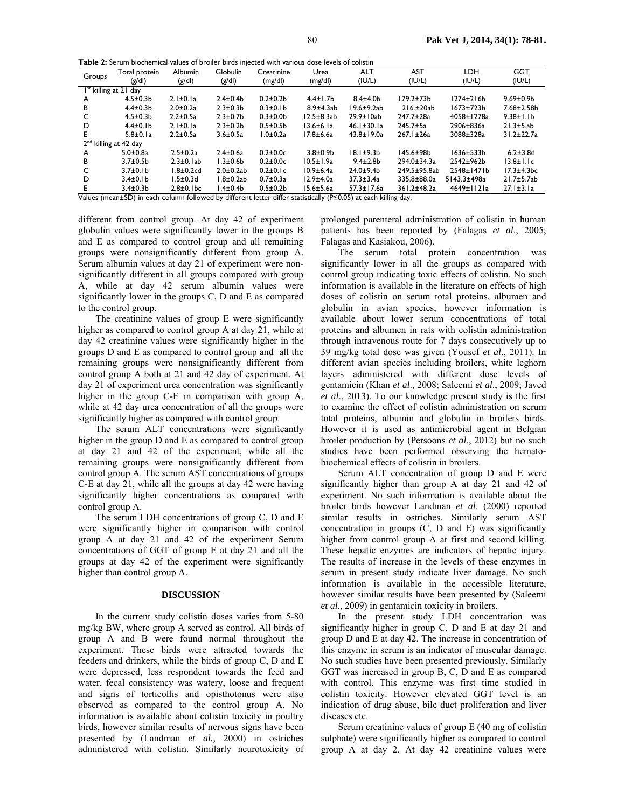**Table 2:** Serum biochemical values of broiler birds injected with various dose levels of colistin

| Groups                                                                                                                        | Total protein   | <b>Albumin</b>   | Globulin        | Creatinine      | Urea             | ALT               | <b>AST</b>         | LDH             | <b>GGT</b>        |  |
|-------------------------------------------------------------------------------------------------------------------------------|-----------------|------------------|-----------------|-----------------|------------------|-------------------|--------------------|-----------------|-------------------|--|
|                                                                                                                               | (g/d)           | (g/d)            | (g/d)           | (mg/dl)         | (mg/dl)          | (IU/L)            | (IU/L)             | (IU/L)          | (IU/L)            |  |
| $Ist$ killing at 21 day                                                                                                       |                 |                  |                 |                 |                  |                   |                    |                 |                   |  |
| A                                                                                                                             | $4.5 \pm 0.3 b$ | $2.1 \pm 0.1a$   | $2.4 \pm 0.4$   | $0.2 + 0.2$     | $4.4 \pm 1.7$ b  | $8.4 + 4.0b$      | $179.2 + 73b$      | $1274\pm216b$   | $9.69 \pm 0.9$ b  |  |
| в                                                                                                                             | $4.4 \pm 0.3 b$ | $2.0 \pm 0.2a$   | $2.3 + 0.3$     | $0.3 \pm 0.1 b$ | $8.9\pm4.3ab$    | $19.6 \pm 9.2ab$  | $216. \pm 20ab$    | $1673 + 723b$   | $7.68 \pm 2.58 b$ |  |
| C                                                                                                                             | $4.5 \pm 0.3 b$ | $2.2 \pm 0.5a$   | $2.3 \pm 0.7$ b | $0.3 + 0.0$     | $12.5 \pm 8.3ab$ | $29.9 \pm 10ab$   | 247.7±28a          | 4058±1278a      | $9.38 \pm 1.1 b$  |  |
| D                                                                                                                             | $4.4 \pm 0.1 b$ | $2.1 \pm 0.1a$   | $2.3 + 0.2b$    | $0.5 \pm 0.5$ b | $13.6 \pm 6.1a$  | $46.1 \pm 30.1a$  | $245.7 \pm 5a$     | 2906±836a       | $21.3 \pm 5.ab$   |  |
| E                                                                                                                             | $5.8\pm0.1a$    | $2.2 \pm 0.5a$   | $3.6 + 0.5a$    | $1.0 \pm 0.2a$  | 17.8±6.6a        | $43.8 \pm 19.0$ a | $267.1 \pm 26a$    | 3088±328a       | 31.2±22.7a        |  |
| 2 <sup>nd</sup> killing at 42 day                                                                                             |                 |                  |                 |                 |                  |                   |                    |                 |                   |  |
| A                                                                                                                             | $5.0 \pm 0.8$ a | $2.5 \pm 0.2a$   | $2.4 \pm 0.6a$  | $0.2 \pm 0.0c$  | $3.8 + 0.9$      | $18.1 \pm 9.3 b$  | $145.6 \pm 98$     | $1636 \pm 533b$ | $6.2 + 3.8$ d     |  |
| в                                                                                                                             | $3.7 \pm 0.5$   | $2.3\pm0.1ab$    | $1.3 \pm 0.6 b$ | $0.2 \pm 0.0c$  | $10.5 \pm 1.9a$  | $9.4 \pm 2.8$ b   | $294.0 \pm 34.3$ a | 2542±962b       | $13.8 \pm 1.1c$   |  |
| C                                                                                                                             | $3.7 \pm 0.1 b$ | $1.8 \pm 0.2$ cd | $2.0\pm0.2ab$   | $0.2\pm0.1c$    | $10.9 \pm 6.4a$  | $24.0 + 9.4$      | 249.5±95.8ab       | $2548 \pm 1471$ | $17.3\pm4.3bc$    |  |
| D                                                                                                                             | $3.4 \pm 0.1 b$ | $1.5 \pm 0.3$ d  | l.8±0.2ab       | $0.7 \pm 0.3a$  | $12.9 \pm 4.0a$  | $37.3 \pm 3.4a$   | 335.8±88.0a        | 5143.3±498a     | $21.7 \pm 5.7$ ab |  |
| Е                                                                                                                             | $3.4 \pm 0.3 b$ | $2.8\pm0.1$ bc   | l.4±0.4b        | $0.5 \pm 0.2 b$ | $15.6 \pm 5.6a$  | $57.3 \pm 17.6a$  | 361.2±48.2a        | 4649±1121a      | $27.1 \pm 3.1a$   |  |
| Values (mean $\pm$ SD) in each column followed by different letter differ statistically ( $P \le 0.05$ ) at each killing day. |                 |                  |                 |                 |                  |                   |                    |                 |                   |  |

different from control group. At day 42 of experiment globulin values were significantly lower in the groups B and E as compared to control group and all remaining groups were nonsignificantly different from group A. Serum albumin values at day 21 of experiment were nonsignificantly different in all groups compared with group A, while at day 42 serum albumin values were significantly lower in the groups C, D and E as compared to the control group.

The creatinine values of group E were significantly higher as compared to control group A at day 21, while at day 42 creatinine values were significantly higher in the groups D and E as compared to control group and all the remaining groups were nonsignificantly different from control group A both at 21 and 42 day of experiment. At day 21 of experiment urea concentration was significantly higher in the group C-E in comparison with group A, while at 42 day urea concentration of all the groups were significantly higher as compared with control group.

The serum ALT concentrations were significantly higher in the group D and E as compared to control group at day 21 and 42 of the experiment, while all the remaining groups were nonsignificantly different from control group A. The serum AST concentrations of groups C-E at day 21, while all the groups at day 42 were having significantly higher concentrations as compared with control group A.

The serum LDH concentrations of group C, D and E were significantly higher in comparison with control group A at day 21 and 42 of the experiment Serum concentrations of GGT of group E at day 21 and all the groups at day 42 of the experiment were significantly higher than control group A.

#### **DISCUSSION**

In the current study colistin doses varies from 5-80 mg/kg BW, where group A served as control. All birds of group A and B were found normal throughout the experiment. These birds were attracted towards the feeders and drinkers, while the birds of group C, D and E were depressed, less respondent towards the feed and water, fecal consistency was watery, loose and frequent and signs of torticollis and opisthotonus were also observed as compared to the control group A. No information is available about colistin toxicity in poultry birds, however similar results of nervous signs have been presented by (Landman *et al.,* 2000) in ostriches administered with colistin. Similarly neurotoxicity of prolonged parenteral administration of colistin in human patients has been reported by (Falagas *et al*., 2005; Falagas and Kasiakou, 2006).

The serum total protein concentration was significantly lower in all the groups as compared with control group indicating toxic effects of colistin. No such information is available in the literature on effects of high doses of colistin on serum total proteins, albumen and globulin in avian species, however information is available about lower serum concentrations of total proteins and albumen in rats with colistin administration through intravenous route for 7 days consecutively up to 39 mg/kg total dose was given (Yousef *et al*., 2011). In different avian species including broilers, white leghorn layers administered with different dose levels of gentamicin (Khan *et al*., 2008; Saleemi *et al*., 2009; Javed *et al*., 2013). To our knowledge present study is the first to examine the effect of colistin administration on serum total proteins, albumin and globulin in broilers birds. However it is used as antimicrobial agent in Belgian broiler production by (Persoons *et al*., 2012) but no such studies have been performed observing the hematobiochemical effects of colistin in broilers.

Serum ALT concentration of group D and E were significantly higher than group A at day 21 and 42 of experiment. No such information is available about the broiler birds however Landman *et al*. (2000) reported similar results in ostriches. Similarly serum AST concentration in groups (C, D and E) was significantly higher from control group A at first and second killing. These hepatic enzymes are indicators of hepatic injury. The results of increase in the levels of these enzymes in serum in present study indicate liver damage. No such information is available in the accessible literature, however similar results have been presented by (Saleemi *et al*., 2009) in gentamicin toxicity in broilers.

In the present study LDH concentration was significantly higher in group C, D and E at day 21 and group D and E at day 42. The increase in concentration of this enzyme in serum is an indicator of muscular damage. No such studies have been presented previously. Similarly GGT was increased in group B, C, D and E as compared with control. This enzyme was first time studied in colistin toxicity. However elevated GGT level is an indication of drug abuse, bile duct proliferation and liver diseases etc.

Serum creatinine values of group E (40 mg of colistin sulphate) were significantly higher as compared to control group A at day 2. At day 42 creatinine values were